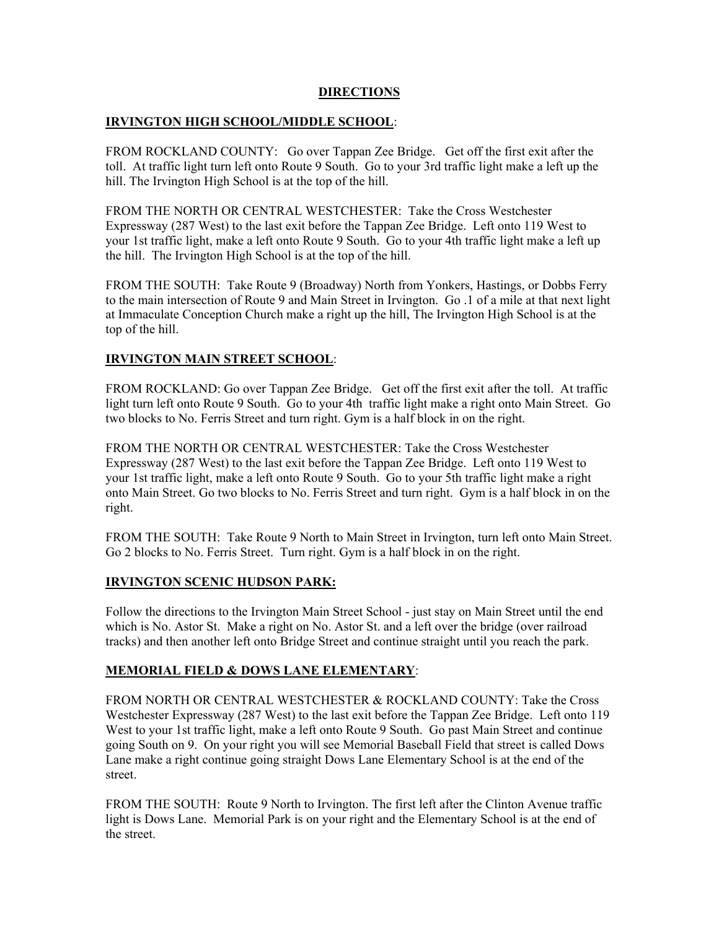## **DIRECTIONS**

## **IRVINGTON HIGH SCHOOL/MIDDLE SCHOOL**:

FROM ROCKLAND COUNTY: Go over Tappan Zee Bridge. Get off the first exit after the toll. At traffic light turn left onto Route 9 South. Go to your 3rd traffic light make a left up the hill. The Irvington High School is at the top of the hill.

FROM THE NORTH OR CENTRAL WESTCHESTER: Take the Cross Westchester Expressway (287 West) to the last exit before the Tappan Zee Bridge. Left onto 119 West to your 1st traffic light, make a left onto Route 9 South. Go to your 4th traffic light make a left up the hill. The Irvington High School is at the top of the hill.

FROM THE SOUTH: Take Route 9 (Broadway) North from Yonkers, Hastings, or Dobbs Ferry to the main intersection of Route 9 and Main Street in Irvington. Go .1 of a mile at that next light at Immaculate Conception Church make a right up the hill, The Irvington High School is at the top of the hill.

# **IRVINGTON MAIN STREET SCHOOL**:

FROM ROCKLAND: Go over Tappan Zee Bridge. Get off the first exit after the toll. At traffic light turn left onto Route 9 South. Go to your 4th traffic light make a right onto Main Street. Go two blocks to No. Ferris Street and turn right. Gym is a half block in on the right.

FROM THE NORTH OR CENTRAL WESTCHESTER: Take the Cross Westchester Expressway (287 West) to the last exit before the Tappan Zee Bridge. Left onto 119 West to your 1st traffic light, make a left onto Route 9 South. Go to your 5th traffic light make a right onto Main Street. Go two blocks to No. Ferris Street and turn right. Gym is a half block in on the right.

FROM THE SOUTH: Take Route 9 North to Main Street in Irvington, turn left onto Main Street. Go 2 blocks to No. Ferris Street. Turn right. Gym is a half block in on the right.

#### **IRVINGTON SCENIC HUDSON PARK:**

Follow the directions to the Irvington Main Street School - just stay on Main Street until the end which is No. Astor St. Make a right on No. Astor St. and a left over the bridge (over railroad tracks) and then another left onto Bridge Street and continue straight until you reach the park.

# **MEMORIAL FIELD & DOWS LANE ELEMENTARY**:

FROM NORTH OR CENTRAL WESTCHESTER & ROCKLAND COUNTY: Take the Cross Westchester Expressway (287 West) to the last exit before the Tappan Zee Bridge. Left onto 119 West to your 1st traffic light, make a left onto Route 9 South. Go past Main Street and continue going South on 9. On your right you will see Memorial Baseball Field that street is called Dows Lane make a right continue going straight Dows Lane Elementary School is at the end of the street.

FROM THE SOUTH: Route 9 North to Irvington. The first left after the Clinton Avenue traffic light is Dows Lane. Memorial Park is on your right and the Elementary School is at the end of the street.